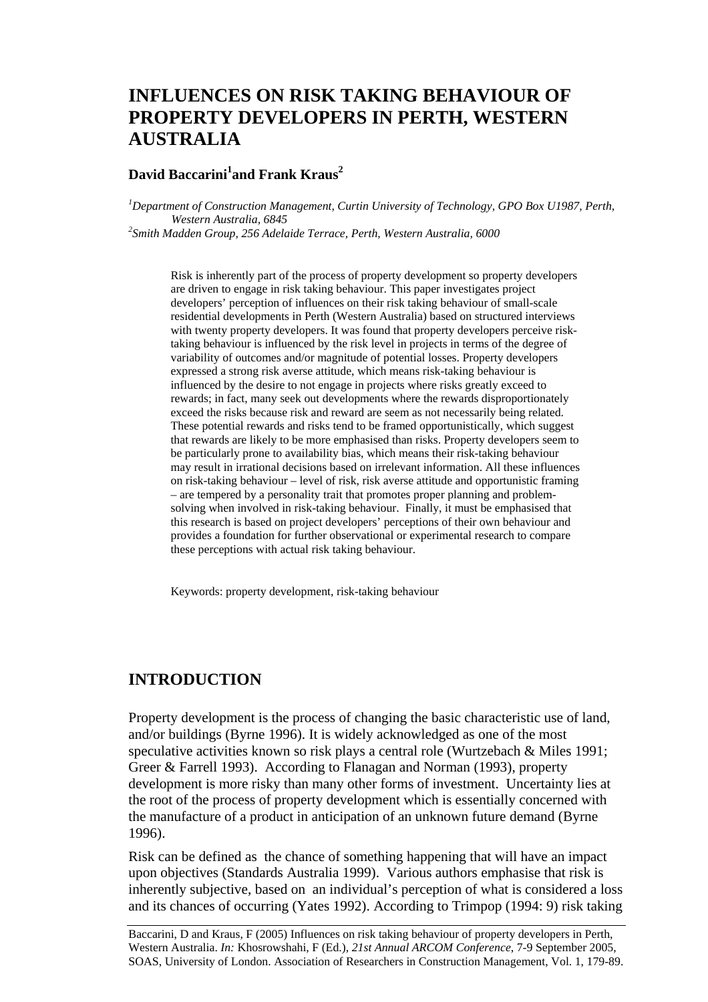# **INFLUENCES ON RISK TAKING BEHAVIOUR OF PROPERTY DEVELOPERS IN PERTH, WESTERN AUSTRALIA**

### **David Baccarini<sup>1</sup> and Frank Kraus2**

*1 Department of Construction Management, Curtin University of Technology, GPO Box U1987, Perth, Western Australia, 6845 2 Smith Madden Group, 256 Adelaide Terrace, Perth, Western Australia, 6000* 

Risk is inherently part of the process of property development so property developers are driven to engage in risk taking behaviour. This paper investigates project developers' perception of influences on their risk taking behaviour of small-scale residential developments in Perth (Western Australia) based on structured interviews with twenty property developers. It was found that property developers perceive risktaking behaviour is influenced by the risk level in projects in terms of the degree of variability of outcomes and/or magnitude of potential losses. Property developers expressed a strong risk averse attitude, which means risk-taking behaviour is influenced by the desire to not engage in projects where risks greatly exceed to rewards; in fact, many seek out developments where the rewards disproportionately exceed the risks because risk and reward are seem as not necessarily being related. These potential rewards and risks tend to be framed opportunistically, which suggest that rewards are likely to be more emphasised than risks. Property developers seem to be particularly prone to availability bias, which means their risk-taking behaviour may result in irrational decisions based on irrelevant information. All these influences on risk-taking behaviour – level of risk, risk averse attitude and opportunistic framing – are tempered by a personality trait that promotes proper planning and problemsolving when involved in risk-taking behaviour. Finally, it must be emphasised that this research is based on project developers' perceptions of their own behaviour and provides a foundation for further observational or experimental research to compare these perceptions with actual risk taking behaviour.

Keywords: property development, risk-taking behaviour

### **INTRODUCTION**

Property development is the process of changing the basic characteristic use of land, and/or buildings (Byrne 1996). It is widely acknowledged as one of the most speculative activities known so risk plays a central role (Wurtzebach & Miles 1991; Greer & Farrell 1993). According to Flanagan and Norman (1993), property development is more risky than many other forms of investment. Uncertainty lies at the root of the process of property development which is essentially concerned with the manufacture of a product in anticipation of an unknown future demand (Byrne 1996).

Risk can be defined as the chance of something happening that will have an impact upon objectives (Standards Australia 1999). Various authors emphasise that risk is inherently subjective, based on an individual's perception of what is considered a loss and its chances of occurring (Yates 1992). According to Trimpop (1994: 9) risk taking

Baccarini, D and Kraus, F (2005) Influences on risk taking behaviour of property developers in Perth, Western Australia. *In:* Khosrowshahi, F (Ed.), *21st Annual ARCOM Conference*, 7-9 September 2005, SOAS, University of London. Association of Researchers in Construction Management, Vol. 1, 179-89.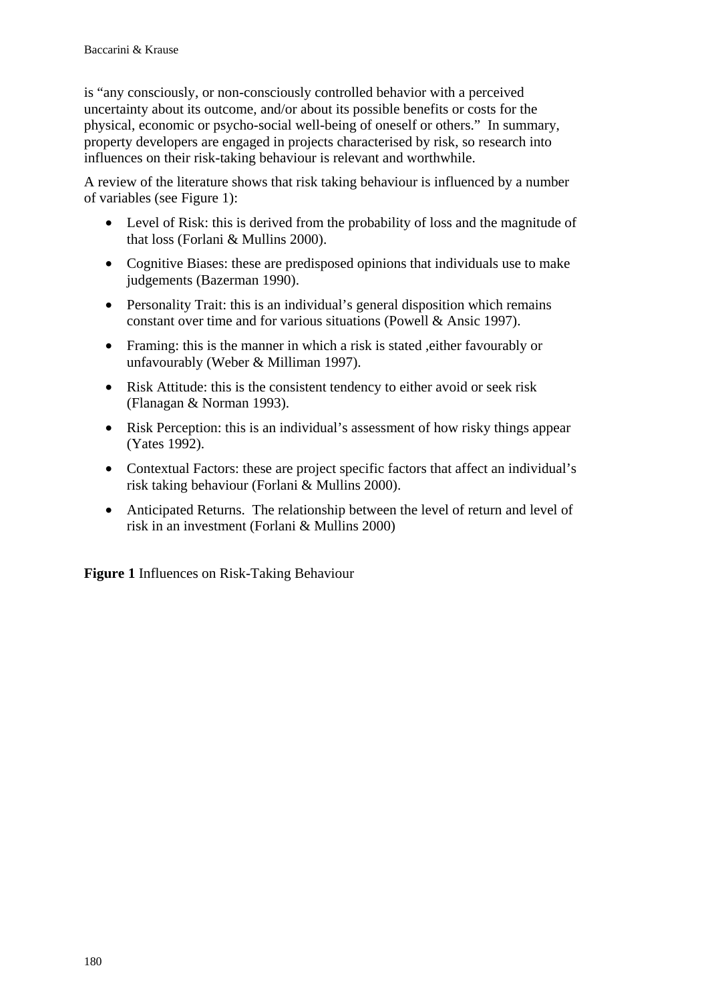is "any consciously, or non-consciously controlled behavior with a perceived uncertainty about its outcome, and/or about its possible benefits or costs for the physical, economic or psycho-social well-being of oneself or others." In summary, property developers are engaged in projects characterised by risk, so research into influences on their risk-taking behaviour is relevant and worthwhile.

A review of the literature shows that risk taking behaviour is influenced by a number of variables (see Figure 1):

- Level of Risk: this is derived from the probability of loss and the magnitude of that loss (Forlani & Mullins 2000).
- Cognitive Biases: these are predisposed opinions that individuals use to make judgements (Bazerman 1990).
- Personality Trait: this is an individual's general disposition which remains constant over time and for various situations (Powell & Ansic 1997).
- Framing: this is the manner in which a risk is stated , either favourably or unfavourably (Weber & Milliman 1997).
- Risk Attitude: this is the consistent tendency to either avoid or seek risk (Flanagan & Norman 1993).
- Risk Perception: this is an individual's assessment of how risky things appear (Yates 1992).
- Contextual Factors: these are project specific factors that affect an individual's risk taking behaviour (Forlani & Mullins 2000).
- Anticipated Returns. The relationship between the level of return and level of risk in an investment (Forlani & Mullins 2000)

**Figure 1** Influences on Risk-Taking Behaviour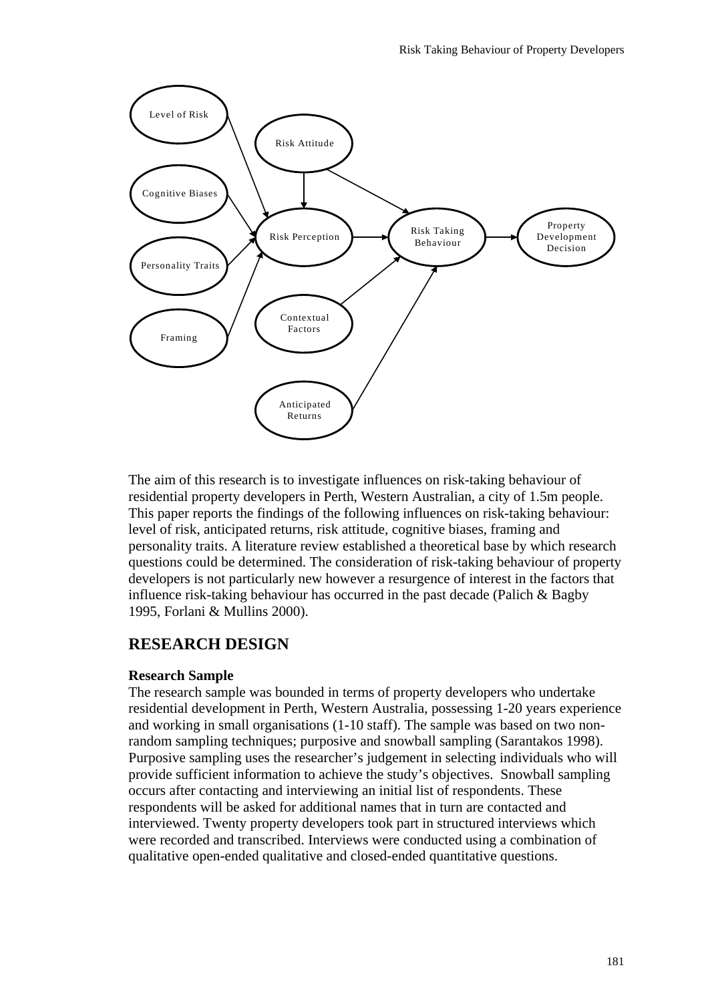

The aim of this research is to investigate influences on risk-taking behaviour of residential property developers in Perth, Western Australian, a city of 1.5m people. This paper reports the findings of the following influences on risk-taking behaviour: level of risk, anticipated returns, risk attitude, cognitive biases, framing and personality traits. A literature review established a theoretical base by which research questions could be determined. The consideration of risk-taking behaviour of property developers is not particularly new however a resurgence of interest in the factors that influence risk-taking behaviour has occurred in the past decade (Palich & Bagby 1995, Forlani & Mullins 2000).

### **RESEARCH DESIGN**

#### **Research Sample**

The research sample was bounded in terms of property developers who undertake residential development in Perth, Western Australia, possessing 1-20 years experience and working in small organisations (1-10 staff). The sample was based on two nonrandom sampling techniques; purposive and snowball sampling (Sarantakos 1998). Purposive sampling uses the researcher's judgement in selecting individuals who will provide sufficient information to achieve the study's objectives. Snowball sampling occurs after contacting and interviewing an initial list of respondents. These respondents will be asked for additional names that in turn are contacted and interviewed. Twenty property developers took part in structured interviews which were recorded and transcribed. Interviews were conducted using a combination of qualitative open-ended qualitative and closed-ended quantitative questions.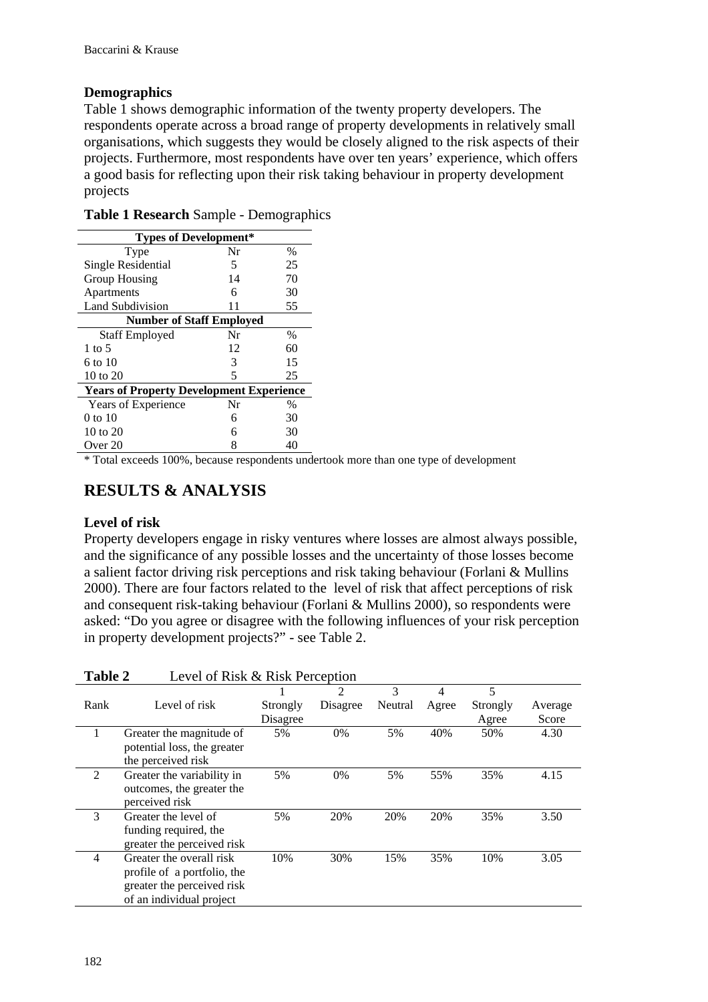#### **Demographics**

Table 1 shows demographic information of the twenty property developers. The respondents operate across a broad range of property developments in relatively small organisations, which suggests they would be closely aligned to the risk aspects of their projects. Furthermore, most respondents have over ten years' experience, which offers a good basis for reflecting upon their risk taking behaviour in property development projects

| <b>Types of Development*</b>                    |    |      |  |  |  |
|-------------------------------------------------|----|------|--|--|--|
| Type                                            | Nr | $\%$ |  |  |  |
| Single Residential                              | 5  | 25   |  |  |  |
| <b>Group Housing</b>                            | 14 | 70   |  |  |  |
| Apartments                                      | 6  | 30   |  |  |  |
| Land Subdivision                                | 11 | 55   |  |  |  |
| <b>Number of Staff Employed</b>                 |    |      |  |  |  |
| <b>Staff Employed</b>                           | Nr | %    |  |  |  |
| 1 to 5                                          | 12 | 60   |  |  |  |
| 6 to 10                                         | 3  | 15   |  |  |  |
| 10 to 20                                        | 5  | 25   |  |  |  |
| <b>Years of Property Development Experience</b> |    |      |  |  |  |
| Years of Experience                             | Nr | $\%$ |  |  |  |
| 0 to 10                                         | 6  | 30   |  |  |  |
| 10 to 20                                        | 6  | 30   |  |  |  |
| Over $20$                                       | 8  | 40   |  |  |  |

**Table 1 Research** Sample - Demographics

\* Total exceeds 100%, because respondents undertook more than one type of development

### **RESULTS & ANALYSIS**

#### **Level of risk**

Property developers engage in risky ventures where losses are almost always possible, and the significance of any possible losses and the uncertainty of those losses become a salient factor driving risk perceptions and risk taking behaviour (Forlani & Mullins 2000). There are four factors related to the level of risk that affect perceptions of risk and consequent risk-taking behaviour (Forlani & Mullins 2000), so respondents were asked: "Do you agree or disagree with the following influences of your risk perception in property development projects?" - see Table 2.

| <b>Table 2</b><br>Level of Risk & Risk Perception |                             |          |          |         |       |          |         |
|---------------------------------------------------|-----------------------------|----------|----------|---------|-------|----------|---------|
|                                                   |                             |          | 2        | 3       | 4     | 5        |         |
| Rank                                              | Level of risk               | Strongly | Disagree | Neutral | Agree | Strongly | Average |
|                                                   |                             | Disagree |          |         |       | Agree    | Score   |
| 1                                                 | Greater the magnitude of    | 5%       | 0%       | 5%      | 40%   | 50%      | 4.30    |
|                                                   | potential loss, the greater |          |          |         |       |          |         |
|                                                   | the perceived risk          |          |          |         |       |          |         |
| 2                                                 | Greater the variability in  | 5%       | $0\%$    | 5%      | 55%   | 35%      | 4.15    |
|                                                   |                             |          |          |         |       |          |         |
|                                                   | outcomes, the greater the   |          |          |         |       |          |         |
|                                                   | perceived risk              |          |          |         |       |          |         |
| 3                                                 | Greater the level of        | 5%       | 20%      | 20%     | 20%   | 35%      | 3.50    |
|                                                   | funding required, the       |          |          |         |       |          |         |
|                                                   | greater the perceived risk  |          |          |         |       |          |         |
| $\overline{4}$                                    | Greater the overall risk    | 10%      | 30%      | 15%     | 35%   | 10%      | 3.05    |
|                                                   |                             |          |          |         |       |          |         |
|                                                   | profile of a portfolio, the |          |          |         |       |          |         |
|                                                   | greater the perceived risk  |          |          |         |       |          |         |
|                                                   | of an individual project    |          |          |         |       |          |         |
|                                                   |                             |          |          |         |       |          |         |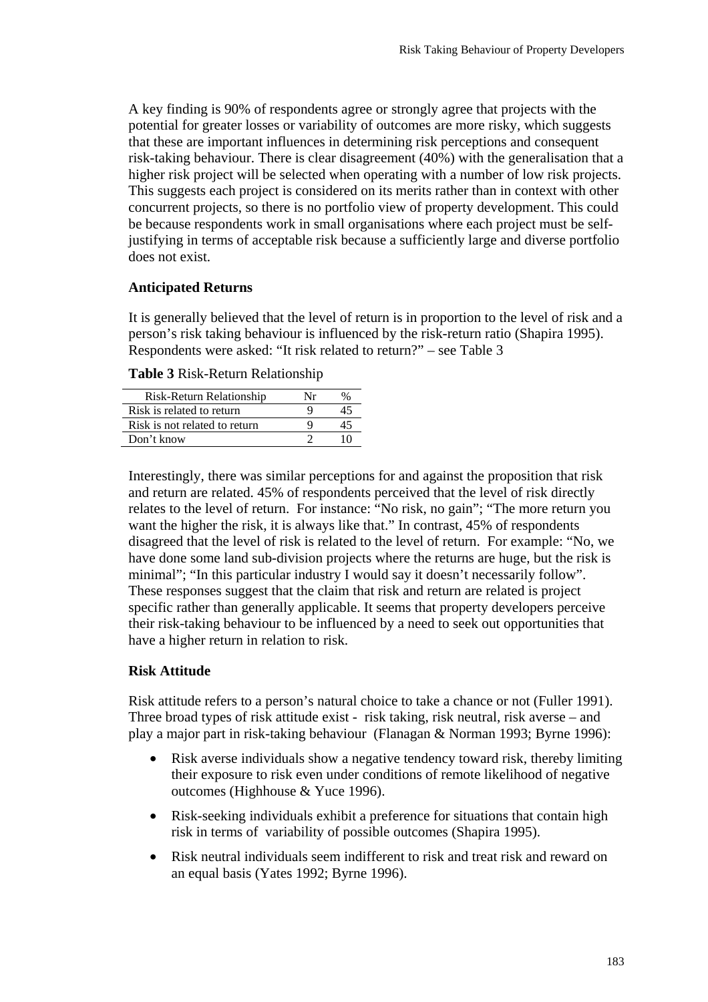A key finding is 90% of respondents agree or strongly agree that projects with the potential for greater losses or variability of outcomes are more risky, which suggests that these are important influences in determining risk perceptions and consequent risk-taking behaviour. There is clear disagreement (40%) with the generalisation that a higher risk project will be selected when operating with a number of low risk projects. This suggests each project is considered on its merits rather than in context with other concurrent projects, so there is no portfolio view of property development. This could be because respondents work in small organisations where each project must be selfjustifying in terms of acceptable risk because a sufficiently large and diverse portfolio does not exist.

#### **Anticipated Returns**

It is generally believed that the level of return is in proportion to the level of risk and a person's risk taking behaviour is influenced by the risk-return ratio (Shapira 1995). Respondents were asked: "It risk related to return?" – see Table 3

| Risk-Return Relationship      | Nr |  |
|-------------------------------|----|--|
| Risk is related to return     |    |  |
| Risk is not related to return |    |  |
| Don't know                    |    |  |

**Table 3** Risk-Return Relationship

Interestingly, there was similar perceptions for and against the proposition that risk and return are related. 45% of respondents perceived that the level of risk directly relates to the level of return. For instance: "No risk, no gain"; "The more return you want the higher the risk, it is always like that." In contrast, 45% of respondents disagreed that the level of risk is related to the level of return. For example: "No, we have done some land sub-division projects where the returns are huge, but the risk is minimal"; "In this particular industry I would say it doesn't necessarily follow". These responses suggest that the claim that risk and return are related is project specific rather than generally applicable. It seems that property developers perceive their risk-taking behaviour to be influenced by a need to seek out opportunities that have a higher return in relation to risk.

#### **Risk Attitude**

Risk attitude refers to a person's natural choice to take a chance or not (Fuller 1991). Three broad types of risk attitude exist - risk taking, risk neutral, risk averse – and play a major part in risk-taking behaviour (Flanagan & Norman 1993; Byrne 1996):

- Risk averse individuals show a negative tendency toward risk, thereby limiting their exposure to risk even under conditions of remote likelihood of negative outcomes (Highhouse & Yuce 1996).
- Risk-seeking individuals exhibit a preference for situations that contain high risk in terms of variability of possible outcomes (Shapira 1995).
- Risk neutral individuals seem indifferent to risk and treat risk and reward on an equal basis (Yates 1992; Byrne 1996).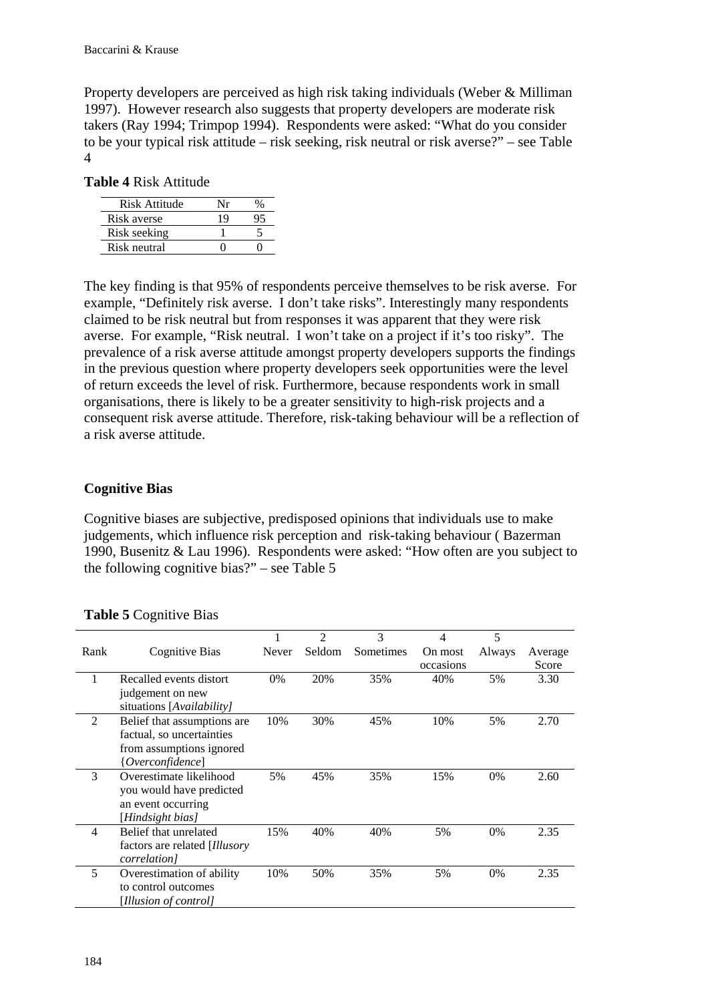Property developers are perceived as high risk taking individuals (Weber & Milliman 1997). However research also suggests that property developers are moderate risk takers (Ray 1994; Trimpop 1994). Respondents were asked: "What do you consider to be your typical risk attitude – risk seeking, risk neutral or risk averse?" – see Table 4

| Risk Attitude | $N_{\rm T}$ |  |
|---------------|-------------|--|
| Risk averse   | 19          |  |
| Risk seeking  |             |  |
| Risk neutral  |             |  |

The key finding is that 95% of respondents perceive themselves to be risk averse. For example, "Definitely risk averse. I don't take risks". Interestingly many respondents claimed to be risk neutral but from responses it was apparent that they were risk averse. For example, "Risk neutral. I won't take on a project if it's too risky". The prevalence of a risk averse attitude amongst property developers supports the findings in the previous question where property developers seek opportunities were the level of return exceeds the level of risk. Furthermore, because respondents work in small organisations, there is likely to be a greater sensitivity to high-risk projects and a consequent risk averse attitude. Therefore, risk-taking behaviour will be a reflection of a risk averse attitude.

#### **Cognitive Bias**

Cognitive biases are subjective, predisposed opinions that individuals use to make judgements, which influence risk perception and risk-taking behaviour ( Bazerman 1990, Busenitz & Lau 1996). Respondents were asked: "How often are you subject to the following cognitive bias?" – see Table 5

|                |                                |       | $\mathfrak{D}$ | 3         | 4         | 5      |         |
|----------------|--------------------------------|-------|----------------|-----------|-----------|--------|---------|
| Rank           | Cognitive Bias                 | Never | Seldom         | Sometimes | On most   | Always | Average |
|                |                                |       |                |           | occasions |        | Score   |
|                | Recalled events distort        | 0%    | 20%            | 35%       | 40%       | 5%     | 3.30    |
|                | judgement on new               |       |                |           |           |        |         |
|                | situations [Availability]      |       |                |           |           |        |         |
| $\mathfrak{D}$ | Belief that assumptions are    | 10%   | 30%            | 45%       | 10%       | 5%     | 2.70    |
|                | factual, so uncertainties      |       |                |           |           |        |         |
|                | from assumptions ignored       |       |                |           |           |        |         |
|                | { <i>Overconfidence</i> }      |       |                |           |           |        |         |
| 3              | Overestimate likelihood        | 5%    | 45%            | 35%       | 15%       | $0\%$  | 2.60    |
|                | you would have predicted       |       |                |           |           |        |         |
|                | an event occurring             |       |                |           |           |        |         |
|                | [Hindsight bias]               |       |                |           |           |        |         |
| $\overline{4}$ | Belief that unrelated          | 15%   | 40%            | 40%       | 5%        | $0\%$  | 2.35    |
|                | factors are related [Illusory] |       |                |           |           |        |         |
|                | <i>correlation]</i>            |       |                |           |           |        |         |
| 5              | Overestimation of ability      | 10%   | 50%            | 35%       | 5%        | 0%     | 2.35    |
|                | to control outcomes            |       |                |           |           |        |         |
|                | [Illusion of control]          |       |                |           |           |        |         |

**Table 5** Cognitive Bias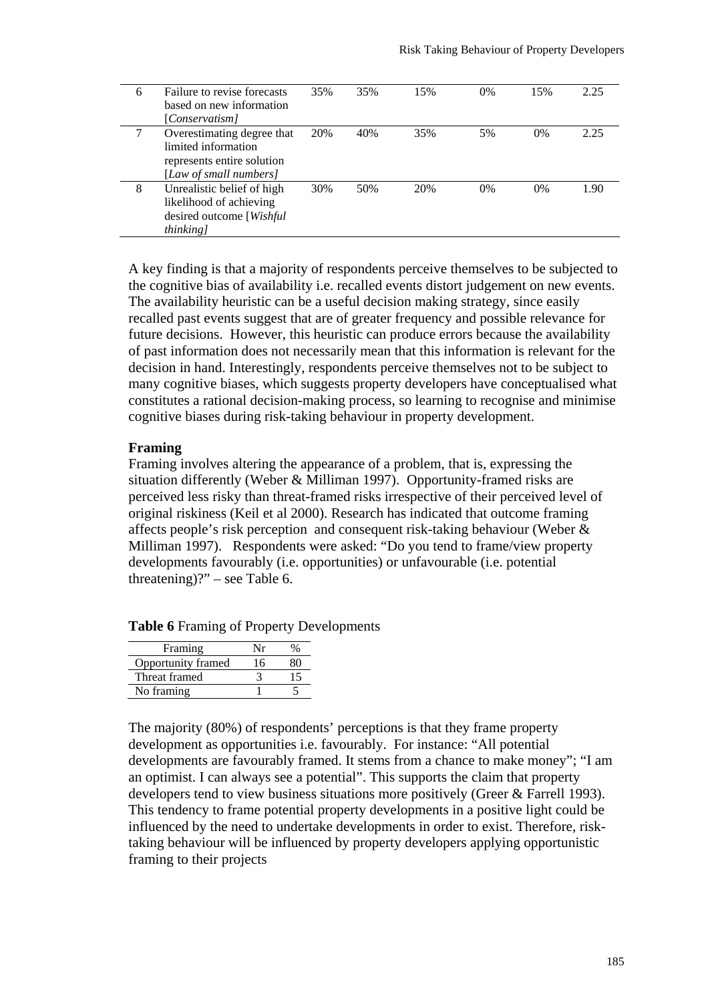| 6 | Failure to revise forecasts<br>based on new information<br>[Conservatism]                                 | 35% | 35% | 15% | 0% | 15%   | 2.25 |
|---|-----------------------------------------------------------------------------------------------------------|-----|-----|-----|----|-------|------|
|   | Overestimating degree that<br>limited information<br>represents entire solution<br>[Law of small numbers] | 20% | 40% | 35% | 5% | $0\%$ | 2.25 |
| 8 | Unrealistic belief of high<br>likelihood of achieving<br>desired outcome [Wishful<br>thinking]            | 30% | 50% | 20% | 0% | $0\%$ | 1.90 |

A key finding is that a majority of respondents perceive themselves to be subjected to the cognitive bias of availability i.e. recalled events distort judgement on new events. The availability heuristic can be a useful decision making strategy, since easily recalled past events suggest that are of greater frequency and possible relevance for future decisions. However, this heuristic can produce errors because the availability of past information does not necessarily mean that this information is relevant for the decision in hand. Interestingly, respondents perceive themselves not to be subject to many cognitive biases, which suggests property developers have conceptualised what constitutes a rational decision-making process, so learning to recognise and minimise cognitive biases during risk-taking behaviour in property development.

#### **Framing**

Framing involves altering the appearance of a problem, that is, expressing the situation differently (Weber & Milliman 1997). Opportunity-framed risks are perceived less risky than threat-framed risks irrespective of their perceived level of original riskiness (Keil et al 2000). Research has indicated that outcome framing affects people's risk perception and consequent risk-taking behaviour (Weber & Milliman 1997). Respondents were asked: "Do you tend to frame/view property developments favourably (i.e. opportunities) or unfavourable (i.e. potential threatening)?" – see Table 6.

| Framing            | $\mathbf{v}$ |  |
|--------------------|--------------|--|
| Opportunity framed | 16           |  |
| Threat framed      |              |  |
| No framing         |              |  |

**Table 6** Framing of Property Developments

The majority (80%) of respondents' perceptions is that they frame property development as opportunities i.e. favourably. For instance: "All potential developments are favourably framed. It stems from a chance to make money"; "I am an optimist. I can always see a potential". This supports the claim that property developers tend to view business situations more positively (Greer & Farrell 1993). This tendency to frame potential property developments in a positive light could be influenced by the need to undertake developments in order to exist. Therefore, risktaking behaviour will be influenced by property developers applying opportunistic framing to their projects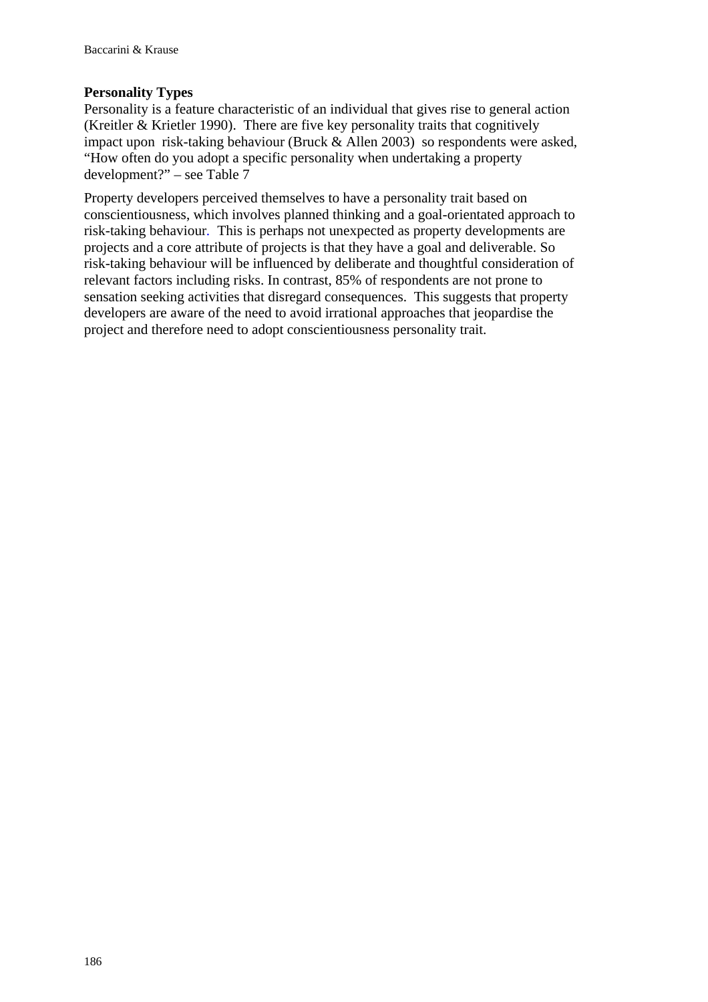### **Personality Types**

Personality is a feature characteristic of an individual that gives rise to general action (Kreitler & Krietler 1990). There are five key personality traits that cognitively impact upon risk-taking behaviour (Bruck & Allen 2003) so respondents were asked, "How often do you adopt a specific personality when undertaking a property development?" – see Table 7

Property developers perceived themselves to have a personality trait based on conscientiousness, which involves planned thinking and a goal-orientated approach to risk-taking behaviour*.* This is perhaps not unexpected as property developments are projects and a core attribute of projects is that they have a goal and deliverable. So risk-taking behaviour will be influenced by deliberate and thoughtful consideration of relevant factors including risks. In contrast, 85% of respondents are not prone to sensation seeking activities that disregard consequences. This suggests that property developers are aware of the need to avoid irrational approaches that jeopardise the project and therefore need to adopt conscientiousness personality trait.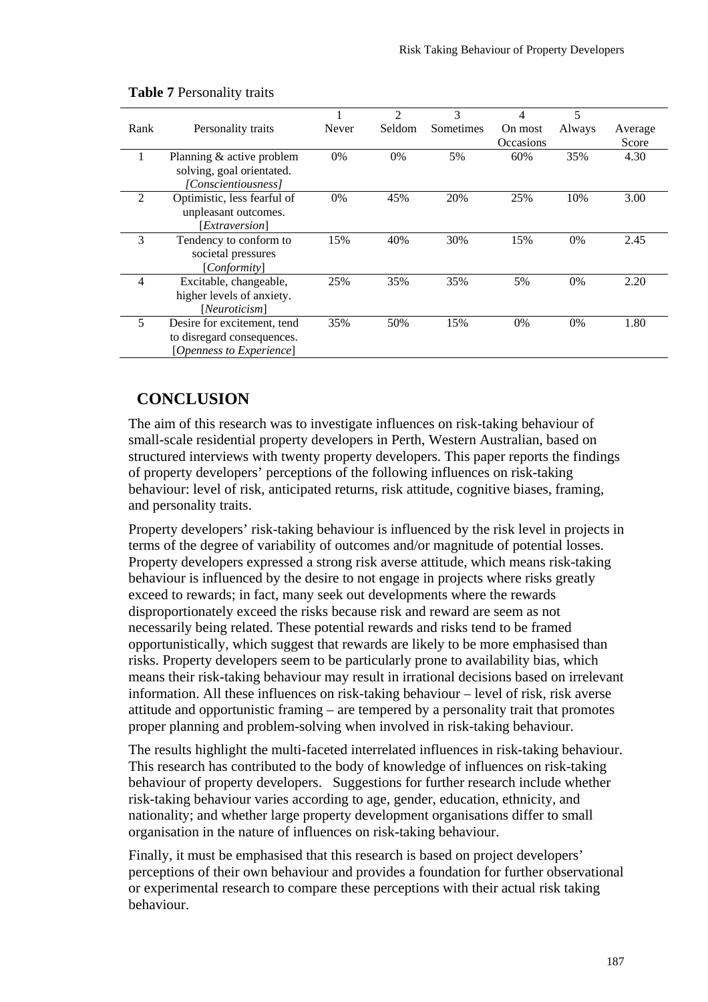|                |                             |       | $\mathfrak{D}$ | 3         | 4                | 5      |         |
|----------------|-----------------------------|-------|----------------|-----------|------------------|--------|---------|
| Rank           | Personality traits          | Never | Seldom         | Sometimes | On most          | Always | Average |
|                |                             |       |                |           | <b>Occasions</b> |        | Score   |
|                | Planning & active problem   | 0%    | 0%             | 5%        | 60%              | 35%    | 4.30    |
|                | solving, goal orientated.   |       |                |           |                  |        |         |
|                | [Conscientiousness]         |       |                |           |                  |        |         |
| $\overline{2}$ | Optimistic, less fearful of | 0%    | 45%            | 20%       | 25%              | 10%    | 3.00    |
|                | unpleasant outcomes.        |       |                |           |                  |        |         |
|                | [Extraversion]              |       |                |           |                  |        |         |
| 3              | Tendency to conform to      | 15%   | 40%            | 30%       | 15%              | $0\%$  | 2.45    |
|                | societal pressures          |       |                |           |                  |        |         |
|                | [Conformity]                |       |                |           |                  |        |         |
| 4              | Excitable, changeable,      | 25%   | 35%            | 35%       | 5%               | $0\%$  | 2.20    |
|                | higher levels of anxiety.   |       |                |           |                  |        |         |
|                | [Neuroticism]               |       |                |           |                  |        |         |
| 5              | Desire for excitement, tend | 35%   | 50%            | 15%       | $0\%$            | 0%     | 1.80    |
|                | to disregard consequences.  |       |                |           |                  |        |         |
|                | [Openness to Experience]    |       |                |           |                  |        |         |

#### **Table 7** Personality traits

## **CONCLUSION**

The aim of this research was to investigate influences on risk-taking behaviour of small-scale residential property developers in Perth, Western Australian, based on structured interviews with twenty property developers. This paper reports the findings of property developers' perceptions of the following influences on risk-taking behaviour: level of risk, anticipated returns, risk attitude, cognitive biases, framing, and personality traits.

Property developers' risk-taking behaviour is influenced by the risk level in projects in terms of the degree of variability of outcomes and/or magnitude of potential losses. Property developers expressed a strong risk averse attitude, which means risk-taking behaviour is influenced by the desire to not engage in projects where risks greatly exceed to rewards; in fact, many seek out developments where the rewards disproportionately exceed the risks because risk and reward are seem as not necessarily being related. These potential rewards and risks tend to be framed opportunistically, which suggest that rewards are likely to be more emphasised than risks. Property developers seem to be particularly prone to availability bias, which means their risk-taking behaviour may result in irrational decisions based on irrelevant information. All these influences on risk-taking behaviour – level of risk, risk averse attitude and opportunistic framing – are tempered by a personality trait that promotes proper planning and problem-solving when involved in risk-taking behaviour.

The results highlight the multi-faceted interrelated influences in risk-taking behaviour. This research has contributed to the body of knowledge of influences on risk-taking behaviour of property developers. Suggestions for further research include whether risk-taking behaviour varies according to age, gender, education, ethnicity, and nationality; and whether large property development organisations differ to small organisation in the nature of influences on risk-taking behaviour.

Finally, it must be emphasised that this research is based on project developers' perceptions of their own behaviour and provides a foundation for further observational or experimental research to compare these perceptions with their actual risk taking behaviour.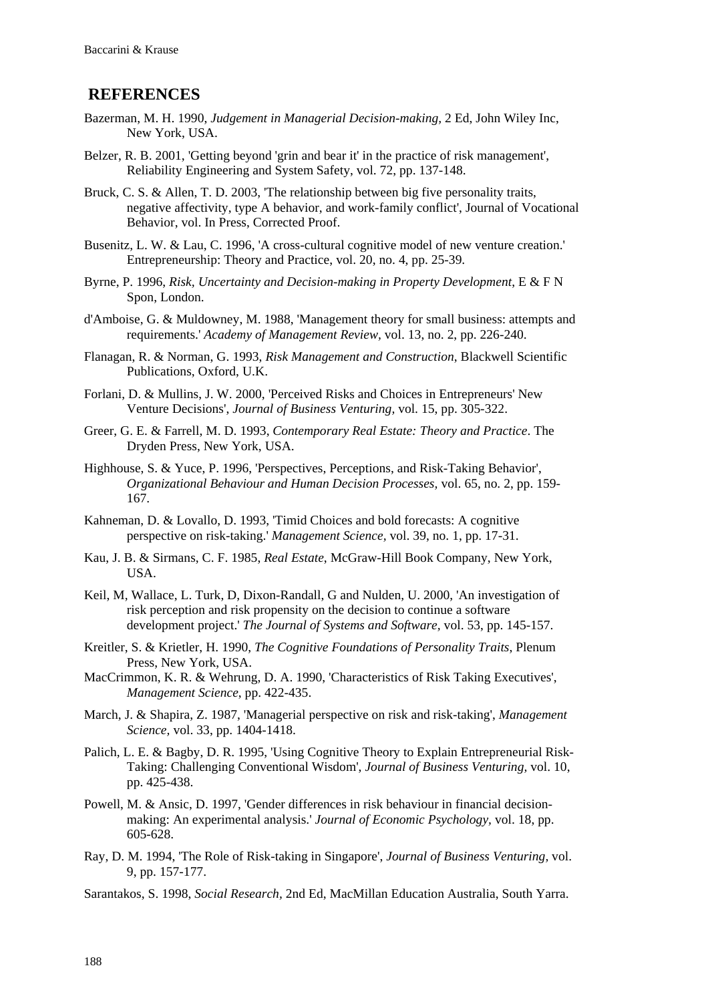### **REFERENCES**

- Bazerman, M. H. 1990, *Judgement in Managerial Decision-making,* 2 Ed, John Wiley Inc, New York, USA.
- Belzer, R. B. 2001, 'Getting beyond 'grin and bear it' in the practice of risk management', Reliability Engineering and System Safety, vol. 72, pp. 137-148.
- Bruck, C. S. & Allen, T. D. 2003, 'The relationship between big five personality traits, negative affectivity, type A behavior, and work-family conflict', Journal of Vocational Behavior, vol. In Press, Corrected Proof.
- Busenitz, L. W. & Lau, C. 1996, 'A cross-cultural cognitive model of new venture creation.' Entrepreneurship: Theory and Practice, vol. 20, no. 4, pp. 25-39.
- Byrne, P. 1996, *Risk, Uncertainty and Decision-making in Property Development*, E & F N Spon, London.
- d'Amboise, G. & Muldowney, M. 1988, 'Management theory for small business: attempts and requirements.' *Academy of Management Review,* vol. 13, no. 2, pp. 226-240.
- Flanagan, R. & Norman, G. 1993, *Risk Management and Construction*, Blackwell Scientific Publications, Oxford, U.K.
- Forlani, D. & Mullins, J. W. 2000, 'Perceived Risks and Choices in Entrepreneurs' New Venture Decisions', *Journal of Business Venturing,* vol. 15, pp. 305-322.
- Greer, G. E. & Farrell, M. D. 1993, *Contemporary Real Estate: Theory and Practice*. The Dryden Press, New York, USA.
- Highhouse, S. & Yuce, P. 1996, 'Perspectives, Perceptions, and Risk-Taking Behavior', *Organizational Behaviour and Human Decision Processes,* vol. 65, no. 2, pp. 159- 167.
- Kahneman, D. & Lovallo, D. 1993, 'Timid Choices and bold forecasts: A cognitive perspective on risk-taking.' *Management Science,* vol. 39, no. 1, pp. 17-31.
- Kau, J. B. & Sirmans, C. F. 1985, *Real Estate*, McGraw-Hill Book Company, New York, USA.
- Keil, M, Wallace, L. Turk, D, Dixon-Randall, G and Nulden, U. 2000, 'An investigation of risk perception and risk propensity on the decision to continue a software development project.' *The Journal of Systems and Software,* vol. 53, pp. 145-157.
- Kreitler, S. & Krietler, H. 1990, *The Cognitive Foundations of Personality Traits*, Plenum Press, New York, USA.
- MacCrimmon, K. R. & Wehrung, D. A. 1990, 'Characteristics of Risk Taking Executives', *Management Science*, pp. 422-435.
- March, J. & Shapira, Z. 1987, 'Managerial perspective on risk and risk-taking', *Management Science,* vol. 33, pp. 1404-1418.
- Palich, L. E. & Bagby, D. R. 1995, 'Using Cognitive Theory to Explain Entrepreneurial Risk-Taking: Challenging Conventional Wisdom', *Journal of Business Venturing,* vol. 10, pp. 425-438.
- Powell, M. & Ansic, D. 1997, 'Gender differences in risk behaviour in financial decisionmaking: An experimental analysis.' *Journal of Economic Psychology,* vol. 18, pp. 605-628.
- Ray, D. M. 1994, 'The Role of Risk-taking in Singapore', *Journal of Business Venturing,* vol. 9, pp. 157-177.
- Sarantakos, S. 1998, *Social Research,* 2nd Ed, MacMillan Education Australia, South Yarra.